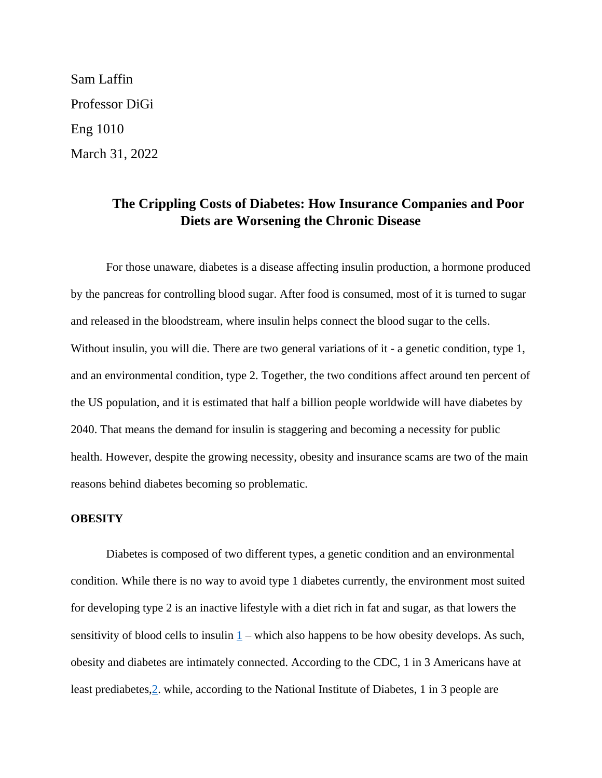Sam Laffin Professor DiGi Eng 1010 March 31, 2022

# **The Crippling Costs of Diabetes: How Insurance Companies and Poor Diets are Worsening the Chronic Disease**

For those unaware, diabetes is a disease affecting insulin production, a hormone produced by the pancreas for controlling blood sugar. After food is consumed, most of it is turned to sugar and released in the bloodstream, where insulin helps connect the blood sugar to the cells. Without insulin, you will die. There are two general variations of it - a genetic condition, type 1, and an environmental condition, type 2. Together, the two conditions affect around ten percent of the US population, and it is estimated that half a billion people worldwide will have diabetes by 2040. That means the demand for insulin is staggering and becoming a necessity for public health. However, despite the growing necessity, obesity and insurance scams are two of the main reasons behind diabetes becoming so problematic.

## **OBESITY**

Diabetes is composed of two different types, a genetic condition and an environmental condition. While there is no way to avoid type 1 diabetes currently, the environment most suited for developing type 2 is an inactive lifestyle with a diet rich in fat and sugar, as that lowers the sensitivity of blood cells to insulin  $1$  – which also happens to be how obesity develops. As such, obesity and diabetes are intimately connected. According to the CDC, 1 in 3 Americans have at least prediabetes[,2.](https://www.cdc.gov/diabetes/library/spotlights/diabetes-facts-stats.html#:~:text=37.3%20million%20Americans%E2%80%94about%201,t%20know%20they%20have%20it) while, according to the National Institute of Diabetes, 1 in 3 people are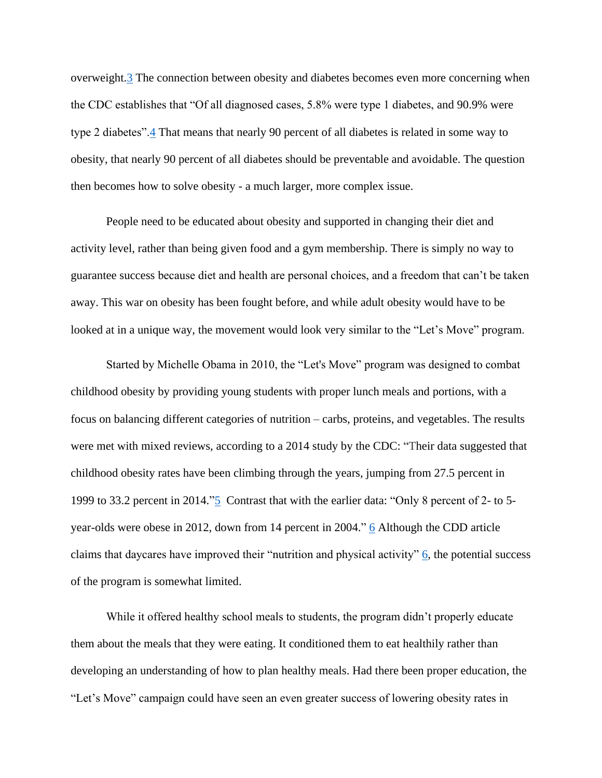overweight[.3](https://www.niddk.nih.gov/health-information/health-statistics/overweight-obesity) The connection between obesity and diabetes becomes even more concerning when the CDC establishes that "Of all diagnosed cases, 5.8% were type 1 diabetes, and 90.9% were type 2 diabetes"[.4](https://www.cdc.gov/mmwr/volumes/67/wr/mm6712a2.htm) That means that nearly 90 percent of all diabetes is related in some way to obesity, that nearly 90 percent of all diabetes should be preventable and avoidable. The question then becomes how to solve obesity - a much larger, more complex issue.

People need to be educated about obesity and supported in changing their diet and activity level, rather than being given food and a gym membership. There is simply no way to guarantee success because diet and health are personal choices, and a freedom that can't be taken away. This war on obesity has been fought before, and while adult obesity would have to be looked at in a unique way, the movement would look very similar to the "Let's Move" program.

Started by Michelle Obama in 2010, the "Let's Move" program was designed to combat childhood obesity by providing young students with proper lunch meals and portions, with a focus on balancing different categories of nutrition – carbs, proteins, and vegetables. The results were met with mixed reviews, according to a 2014 study by the CDC: "Their data suggested that childhood obesity rates have been climbing through the years, jumping from 27.5 percent in 1999 to 33.2 percent in 2014.["5](https://onlinedegrees.unr.edu/blog/what-has-the-impact-of-lets-move-had-on-childhood-obesity/) Contrast that with the earlier data: "Only 8 percent of 2- to 5 year-olds were obese in 2012, down from 14 percent in 2004." [6](https://www.cdc.gov/media/releases/2014/p0225-child-obesity.html) Although the CDD article claims that daycares have improved their "nutrition and physical activity"  $\overline{6}$ , the potential success of the program is somewhat limited.

While it offered healthy school meals to students, the program didn't properly educate them about the meals that they were eating. It conditioned them to eat healthily rather than developing an understanding of how to plan healthy meals. Had there been proper education, the "Let's Move" campaign could have seen an even greater success of lowering obesity rates in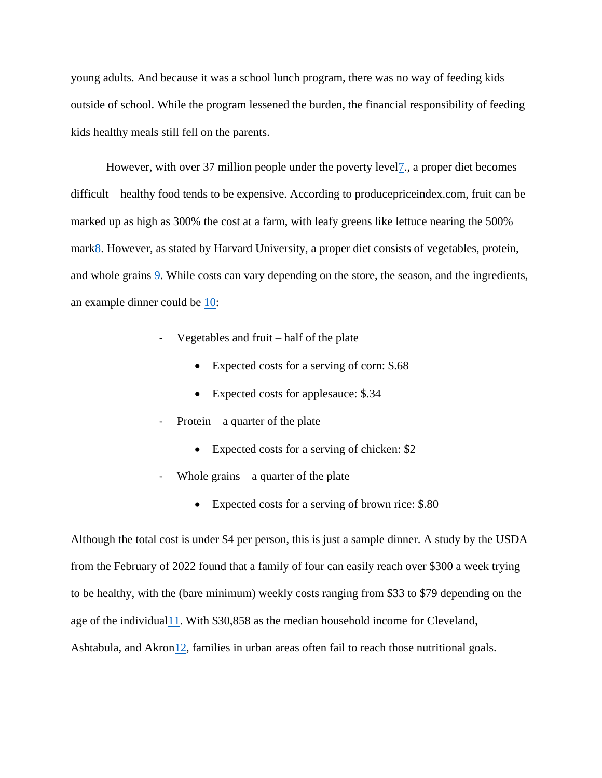young adults. And because it was a school lunch program, there was no way of feeding kids outside of school. While the program lessened the burden, the financial responsibility of feeding kids healthy meals still fell on the parents.

However, with over 37 million people under the poverty level<sub>7</sub>, a proper diet becomes difficult – healthy food tends to be expensive. According to producepriceindex.com, fruit can be marked up as high as 300% the cost at a farm, with leafy greens like lettuce nearing the 500% mar[k8.](http://www.producepriceindex.com/) However, as stated by Harvard University, a proper diet consists of vegetables, protein, and whole grains [9.](https://www.hsph.harvard.edu/nutritionsource/healthy-eating-plate/) While costs can vary depending on the store, the season, and the ingredients, an example dinner could be [10:](https://shop.gianteagle.com/solon)

- Vegetables and fruit  $-$  half of the plate
	- Expected costs for a serving of corn: \$.68
	- Expected costs for applesauce: \$.34
- Protein a quarter of the plate
	- Expected costs for a serving of chicken: \$2
- Whole grains  $-$  a quarter of the plate
	- Expected costs for a serving of brown rice: \$.80

Although the total cost is under \$4 per person, this is just a sample dinner. A study by the USDA from the February of 2022 found that a family of four can easily reach over \$300 a week trying to be healthy, with the (bare minimum) weekly costs ranging from \$33 to \$79 depending on the age of the individual  $11$ . With \$30,858 as the median household income for Cleveland, Ashtabula, and Akro[n12,](https://www.cleveland.com/datacentral/2016/12/median_family_income_household.html) families in urban areas often fail to reach those nutritional goals.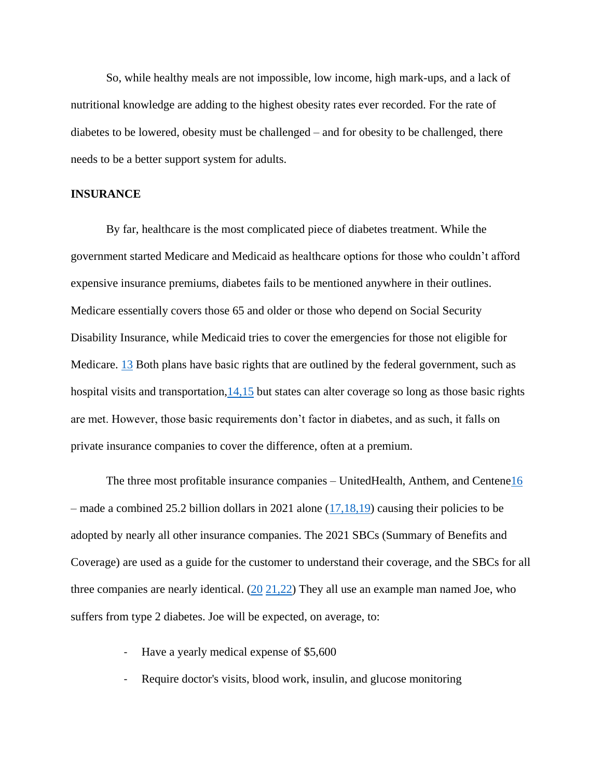So, while healthy meals are not impossible, low income, high mark-ups, and a lack of nutritional knowledge are adding to the highest obesity rates ever recorded. For the rate of diabetes to be lowered, obesity must be challenged – and for obesity to be challenged, there needs to be a better support system for adults.

#### **INSURANCE**

By far, healthcare is the most complicated piece of diabetes treatment. While the government started Medicare and Medicaid as healthcare options for those who couldn't afford expensive insurance premiums, diabetes fails to be mentioned anywhere in their outlines. Medicare essentially covers those 65 and older or those who depend on Social Security Disability Insurance, while Medicaid tries to cover the emergencies for those not eligible for Medicare. [13](https://www.medicareinteractive.org/get-answers/medicare-basics/medicare-overview/introduction-to-medicare) Both plans have basic rights that are outlined by the federal government, such as hospital visits and transportation,  $14,15$  $14,15$  but states can alter coverage so long as those basic rights are met. However, those basic requirements don't factor in diabetes, and as such, it falls on private insurance companies to cover the difference, often at a premium.

The three most profitable insurance companies – UnitedHealth, Anthem, and Centen[e16](https://www.valuepenguin.com/largest-health-insurance-companies) – made a combined 25.2 billion dollars in 2021 alone  $(17,18,19)$  $(17,18,19)$  $(17,18,19)$  causing their policies to be adopted by nearly all other insurance companies. The 2021 SBCs (Summary of Benefits and Coverage) are used as a guide for the customer to understand their coverage, and the SBCs for all three companies are nearly identical. [\(20](https://employees.travelers.com/employees/docs/retiree_sbc-uhc_us.pdf) [21,](https://sbc.anthem.com/dps/searchPage)[22\)](https://api.centene.com/SBC/2021/39006NM0010003-01.pdf) They all use an example man named Joe, who suffers from type 2 diabetes. Joe will be expected, on average, to:

- Have a yearly medical expense of \$5,600
- Require doctor's visits, blood work, insulin, and glucose monitoring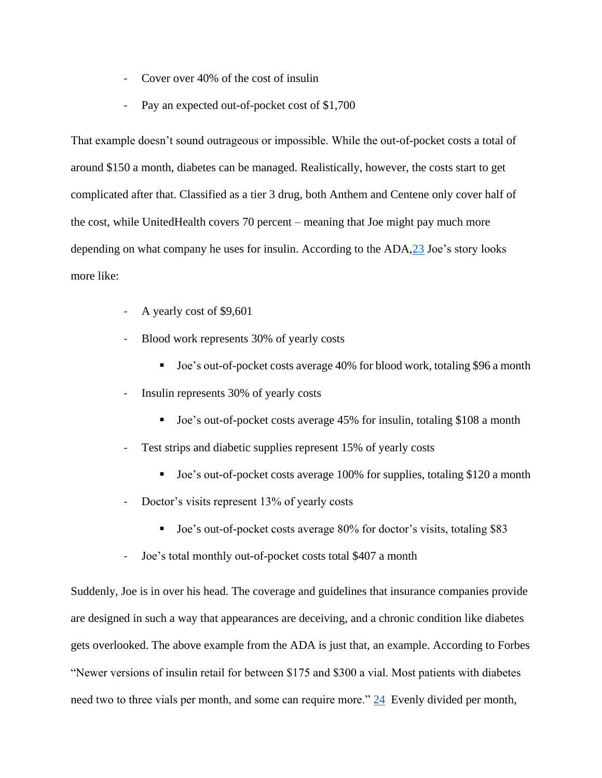- Cover over 40% of the cost of insulin
- Pay an expected out-of-pocket cost of \$1,700

That example doesn't sound outrageous or impossible. While the out-of-pocket costs a total of around \$150 a month, diabetes can be managed. Realistically, however, the costs start to get complicated after that. Classified as a tier 3 drug, both Anthem and Centene only cover half of the cost, while UnitedHealth covers 70 percent – meaning that Joe might pay much more depending on what company he uses for insulin. According to the ADA[,23](https://www.diabetes.org/about-us/statistics/cost-diabetes) Joe's story looks more like:

- A yearly cost of \$9,601
- Blood work represents 30% of yearly costs
	- Joe's out-of-pocket costs average 40% for blood work, totaling \$96 a month
- Insulin represents 30% of yearly costs
	- Joe's out-of-pocket costs average 45% for insulin, totaling \$108 a month
- Test strips and diabetic supplies represent 15% of yearly costs
	- Joe's out-of-pocket costs average 100% for supplies, totaling \$120 a month
- Doctor's visits represent 13% of yearly costs
	- Joe's out-of-pocket costs average 80% for doctor's visits, totaling \$83
- Joe's total monthly out-of-pocket costs total \$407 a month

Suddenly, Joe is in over his head. The coverage and guidelines that insurance companies provide are designed in such a way that appearances are deceiving, and a chronic condition like diabetes gets overlooked. The above example from the ADA is just that, an example. According to Forbes "Newer versions of insulin retail for between \$175 and \$300 a vial. Most patients with diabetes need two to three vials per month, and some can require more." [24](https://www.forbes.com/sites/joshuacohen/2021/01/05/insulins-out-of-pocket-cost-burden-to-diabetic-patients-continues-to-rise-despite-reduced-net-costs-to-pbms/?sh=355f0b0440b2) Evenly divided per month,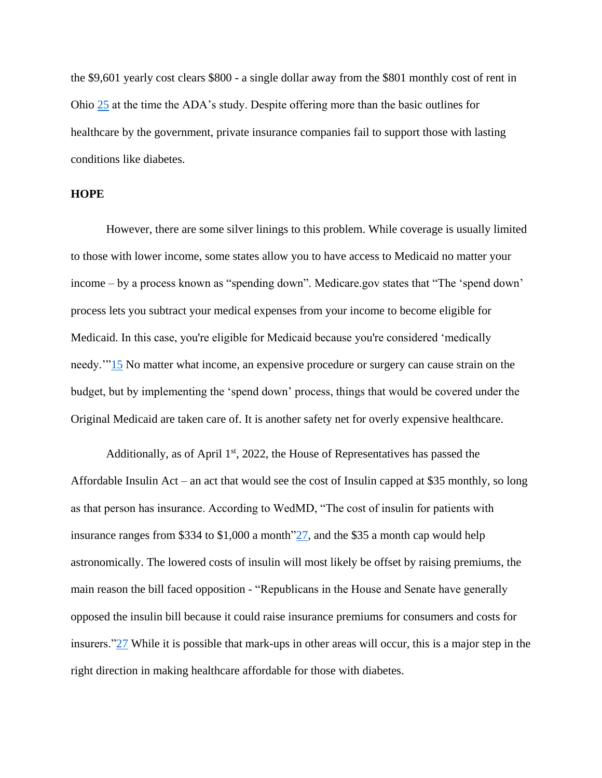the \$9,601 yearly cost clears \$800 - a single dollar away from the \$801 monthly cost of rent in Ohio [25](https://www.deptofnumbers.com/rent/ohio/) at the time the ADA's study. Despite offering more than the basic outlines for healthcare by the government, private insurance companies fail to support those with lasting conditions like diabetes.

## **HOPE**

However, there are some silver linings to this problem. While coverage is usually limited to those with lower income, some states allow you to have access to Medicaid no matter your income – by a process known as "spending down". Medicare.gov states that "The 'spend down' process lets you subtract your medical expenses from your income to become eligible for Medicaid. In this case, you're eligible for Medicaid because you're considered 'medically needy.'["15](https://www.medicare.gov/your-medicare-costs/get-help-paying-costs/medicaid) No matter what income, an expensive procedure or surgery can cause strain on the budget, but by implementing the 'spend down' process, things that would be covered under the Original Medicaid are taken care of. It is another safety net for overly expensive healthcare.

Additionally, as of April  $1<sup>st</sup>$ , 2022, the House of Representatives has passed the Affordable Insulin Act – an act that would see the cost of Insulin capped at \$35 monthly, so long as that person has insurance. According to WedMD, "The cost of insulin for patients with insurance ranges from \$334 to \$1,000 a month["27,](https://www.webmd.com/diabetes/news/20220401/house-passes-bill-limit-cost-insulin-35-per-month) and the \$35 a month cap would help astronomically. The lowered costs of insulin will most likely be offset by raising premiums, the main reason the bill faced opposition - "Republicans in the House and Senate have generally opposed the insulin bill because it could raise insurance premiums for consumers and costs for insurers.["27](https://www.webmd.com/diabetes/news/20220401/house-passes-bill-limit-cost-insulin-35-per-month) While it is possible that mark-ups in other areas will occur, this is a major step in the right direction in making healthcare affordable for those with diabetes.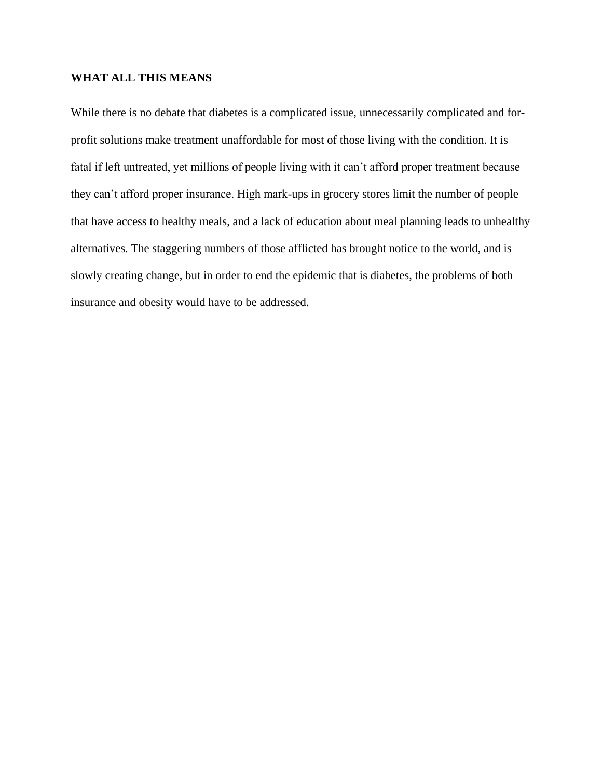## **WHAT ALL THIS MEANS**

While there is no debate that diabetes is a complicated issue, unnecessarily complicated and forprofit solutions make treatment unaffordable for most of those living with the condition. It is fatal if left untreated, yet millions of people living with it can't afford proper treatment because they can't afford proper insurance. High mark-ups in grocery stores limit the number of people that have access to healthy meals, and a lack of education about meal planning leads to unhealthy alternatives. The staggering numbers of those afflicted has brought notice to the world, and is slowly creating change, but in order to end the epidemic that is diabetes, the problems of both insurance and obesity would have to be addressed.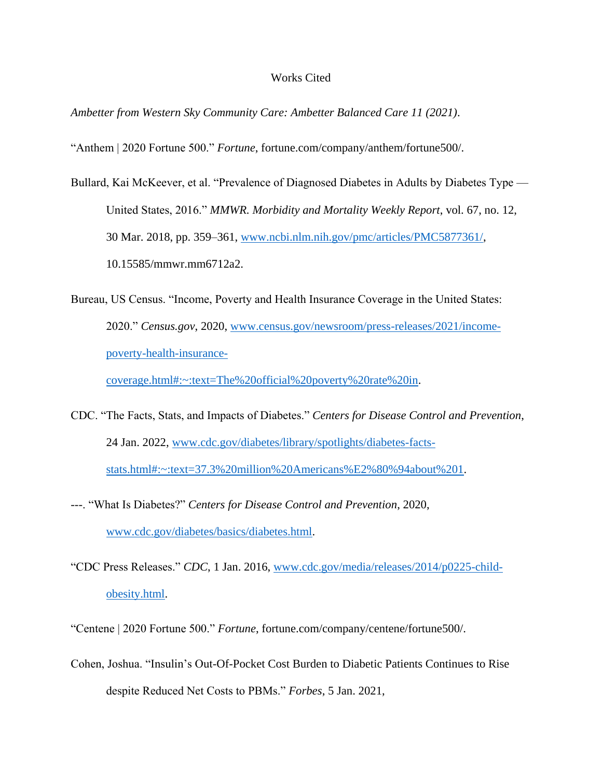#### Works Cited

*Ambetter from Western Sky Community Care: Ambetter Balanced Care 11 (2021)*.

"Anthem | 2020 Fortune 500." *Fortune*, fortune.com/company/anthem/fortune500/.

- Bullard, Kai McKeever, et al. "Prevalence of Diagnosed Diabetes in Adults by Diabetes Type United States, 2016." *MMWR. Morbidity and Mortality Weekly Report*, vol. 67, no. 12, 30 Mar. 2018, pp. 359–361, www.ncbi.nlm.nih.gov/pmc/articles/PMC5877361/, 10.15585/mmwr.mm6712a2.
- Bureau, US Census. "Income, Poverty and Health Insurance Coverage in the United States: 2020." *Census.gov*, 2020, www.census.gov/newsroom/press-releases/2021/incomepoverty-health-insurance-

coverage.html#:~:text=The%20official%20poverty%20rate%20in.

- CDC. "The Facts, Stats, and Impacts of Diabetes." *Centers for Disease Control and Prevention*, 24 Jan. 2022, www.cdc.gov/diabetes/library/spotlights/diabetes-factsstats.html#:~:text=37.3%20million%20Americans%E2%80%94about%201.
- ---. "What Is Diabetes?" *Centers for Disease Control and Prevention*, 2020, www.cdc.gov/diabetes/basics/diabetes.html.
- "CDC Press Releases." *CDC*, 1 Jan. 2016, www.cdc.gov/media/releases/2014/p0225-childobesity.html.

"Centene | 2020 Fortune 500." *Fortune*, fortune.com/company/centene/fortune500/.

Cohen, Joshua. "Insulin's Out-Of-Pocket Cost Burden to Diabetic Patients Continues to Rise despite Reduced Net Costs to PBMs." *Forbes*, 5 Jan. 2021,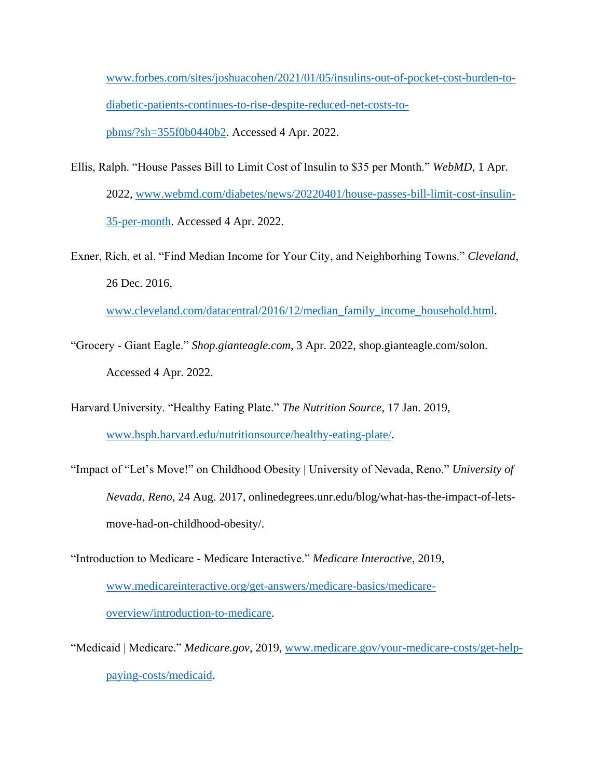www.forbes.com/sites/joshuacohen/2021/01/05/insulins-out-of-pocket-cost-burden-todiabetic-patients-continues-to-rise-despite-reduced-net-costs-topbms/?sh=355f0b0440b2. Accessed 4 Apr. 2022.

- Ellis, Ralph. "House Passes Bill to Limit Cost of Insulin to \$35 per Month." *WebMD*, 1 Apr. 2022, www.webmd.com/diabetes/news/20220401/house-passes-bill-limit-cost-insulin-35-per-month. Accessed 4 Apr. 2022.
- Exner, Rich, et al. "Find Median Income for Your City, and Neighborhing Towns." *Cleveland*, 26 Dec. 2016,

www.cleveland.com/datacentral/2016/12/median\_family\_income\_household.html.

- "Grocery Giant Eagle." *Shop.gianteagle.com*, 3 Apr. 2022, shop.gianteagle.com/solon. Accessed 4 Apr. 2022.
- Harvard University. "Healthy Eating Plate." *The Nutrition Source*, 17 Jan. 2019, www.hsph.harvard.edu/nutritionsource/healthy-eating-plate/.
- "Impact of "Let's Move!" on Childhood Obesity | University of Nevada, Reno." *University of Nevada, Reno*, 24 Aug. 2017, onlinedegrees.unr.edu/blog/what-has-the-impact-of-letsmove-had-on-childhood-obesity/.

"Introduction to Medicare - Medicare Interactive." *Medicare Interactive*, 2019, www.medicareinteractive.org/get-answers/medicare-basics/medicareoverview/introduction-to-medicare.

"Medicaid | Medicare." *Medicare.gov*, 2019, www.medicare.gov/your-medicare-costs/get-helppaying-costs/medicaid.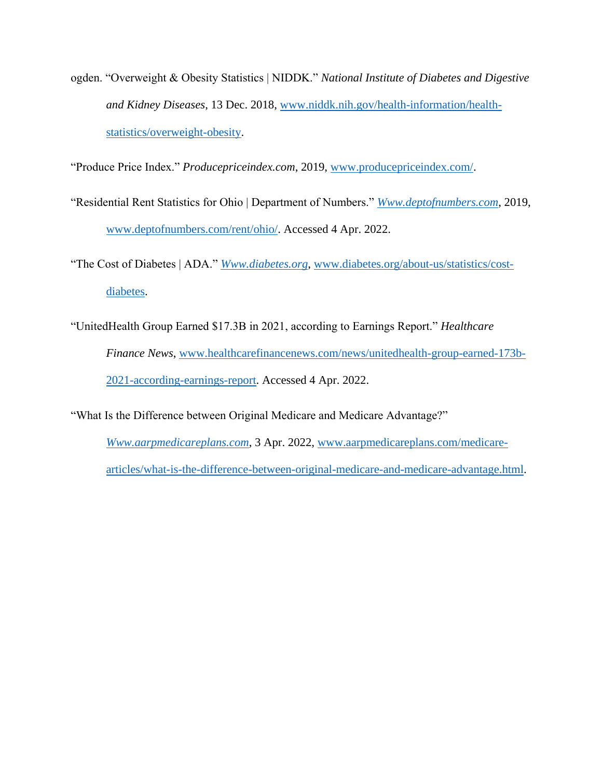ogden. "Overweight & Obesity Statistics | NIDDK." *National Institute of Diabetes and Digestive and Kidney Diseases*, 13 Dec. 2018, www.niddk.nih.gov/health-information/healthstatistics/overweight-obesity.

"Produce Price Index." *Producepriceindex.com*, 2019, www.producepriceindex.com/.

"Residential Rent Statistics for Ohio | Department of Numbers." *Www.deptofnumbers.com*, 2019, www.deptofnumbers.com/rent/ohio/. Accessed 4 Apr. 2022.

"The Cost of Diabetes | ADA." *Www.diabetes.org*, www.diabetes.org/about-us/statistics/costdiabetes.

"UnitedHealth Group Earned \$17.3B in 2021, according to Earnings Report." *Healthcare Finance News*, www.healthcarefinancenews.com/news/unitedhealth-group-earned-173b-2021-according-earnings-report. Accessed 4 Apr. 2022.

"What Is the Difference between Original Medicare and Medicare Advantage?"

*Www.aarpmedicareplans.com*, 3 Apr. 2022, www.aarpmedicareplans.com/medicarearticles/what-is-the-difference-between-original-medicare-and-medicare-advantage.html.